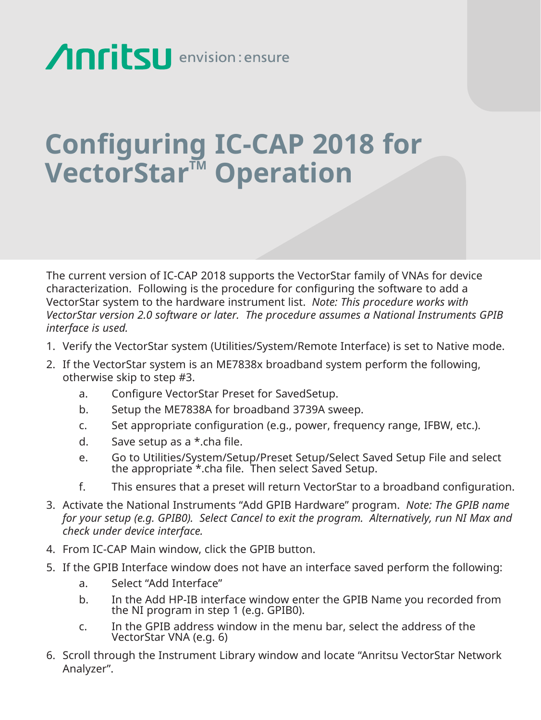## **Anritsu** envision: ensure

## **Configuring IC-CAP 2018 for VectorStar™ Operation**

The current version of IC-CAP 2018 supports the VectorStar family of VNAs for device characterization. Following is the procedure for configuring the software to add a VectorStar system to the hardware instrument list. *Note: This procedure works with VectorStar version 2.0 software or later. The procedure assumes a National Instruments GPIB interface is used.*

- 1. Verify the VectorStar system (Utilities/System/Remote Interface) is set to Native mode.
- 2. If the VectorStar system is an ME7838x broadband system perform the following, otherwise skip to step #3.
	- a. Configure VectorStar Preset for SavedSetup.
	- b. Setup the ME7838A for broadband 3739A sweep.
	- c. Set appropriate configuration (e.g., power, frequency range, IFBW, etc.).
	- d. Save setup as a \*.cha file.
- e. Go to Utilities/System/Setup/Preset Setup/Select Saved Setup File and select the appropriate \*.cha file. Then select Saved Setup.
	- f. This ensures that a preset will return VectorStar to a broadband configuration.
- 3. Activate the National Instruments "Add GPIB Hardware" program. *Note: The GPIB name for your setup (e.g. GPIB0). Select Cancel to exit the program. Alternatively, run NI Max and check under device interface.*
- 4. From IC-CAP Main window, click the GPIB button.
- 5. If the GPIB Interface window does not have an interface saved perform the following:
	- a. Select "Add Interface"
	- b. In the Add HP-IB interface window enter the GPIB Name you recorded from the NI program in step 1 (e.g. GPIB0).
	- c. In the GPIB address window in the menu bar, select the address of the VectorStar VNA (e.g. 6)
- 6. Scroll through the Instrument Library window and locate "Anritsu VectorStar Network Analyzer".